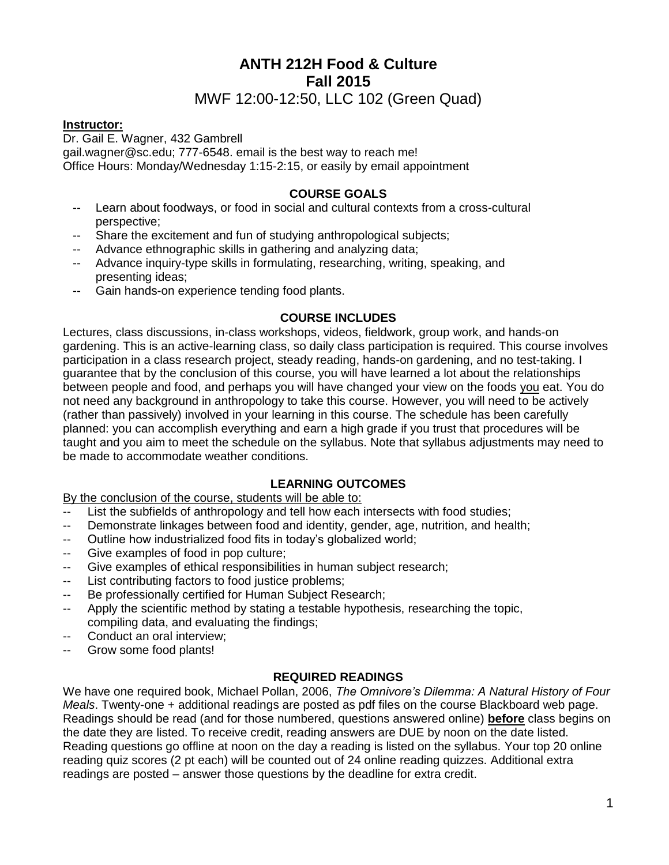# **ANTH 212H Food & Culture Fall 2015**

# MWF 12:00-12:50, LLC 102 (Green Quad)

## **Instructor:**

Dr. Gail E. Wagner, 432 Gambrell gail.wagner@sc.edu; 777-6548. email is the best way to reach me! Office Hours: Monday/Wednesday 1:15-2:15, or easily by email appointment

### **COURSE GOALS**

- -- Learn about foodways, or food in social and cultural contexts from a cross-cultural perspective;
- -Share the excitement and fun of studying anthropological subjects;
- -- Advance ethnographic skills in gathering and analyzing data;
- -- Advance inquiry-type skills in formulating, researching, writing, speaking, and presenting ideas;
- -- Gain hands-on experience tending food plants.

## **COURSE INCLUDES**

Lectures, class discussions, in-class workshops, videos, fieldwork, group work, and hands-on gardening. This is an active-learning class, so daily class participation is required. This course involves participation in a class research project, steady reading, hands-on gardening, and no test-taking. I guarantee that by the conclusion of this course, you will have learned a lot about the relationships between people and food, and perhaps you will have changed your view on the foods you eat. You do not need any background in anthropology to take this course. However, you will need to be actively (rather than passively) involved in your learning in this course. The schedule has been carefully planned: you can accomplish everything and earn a high grade if you trust that procedures will be taught and you aim to meet the schedule on the syllabus. Note that syllabus adjustments may need to be made to accommodate weather conditions.

## **LEARNING OUTCOMES**

By the conclusion of the course, students will be able to:

- -- List the subfields of anthropology and tell how each intersects with food studies;
- -- Demonstrate linkages between food and identity, gender, age, nutrition, and health;
- -- Outline how industrialized food fits in today's globalized world;
- -- Give examples of food in pop culture;
- -- Give examples of ethical responsibilities in human subject research;
- -- List contributing factors to food justice problems;
- -- Be professionally certified for Human Subject Research;
- -- Apply the scientific method by stating a testable hypothesis, researching the topic, compiling data, and evaluating the findings;
- -- Conduct an oral interview;
- -- Grow some food plants!

#### **REQUIRED READINGS**

We have one required book, Michael Pollan, 2006, *The Omnivore's Dilemma: A Natural History of Four Meals*. Twenty-one + additional readings are posted as pdf files on the course Blackboard web page. Readings should be read (and for those numbered, questions answered online) **before** class begins on the date they are listed. To receive credit, reading answers are DUE by noon on the date listed. Reading questions go offline at noon on the day a reading is listed on the syllabus. Your top 20 online reading quiz scores (2 pt each) will be counted out of 24 online reading quizzes. Additional extra readings are posted – answer those questions by the deadline for extra credit.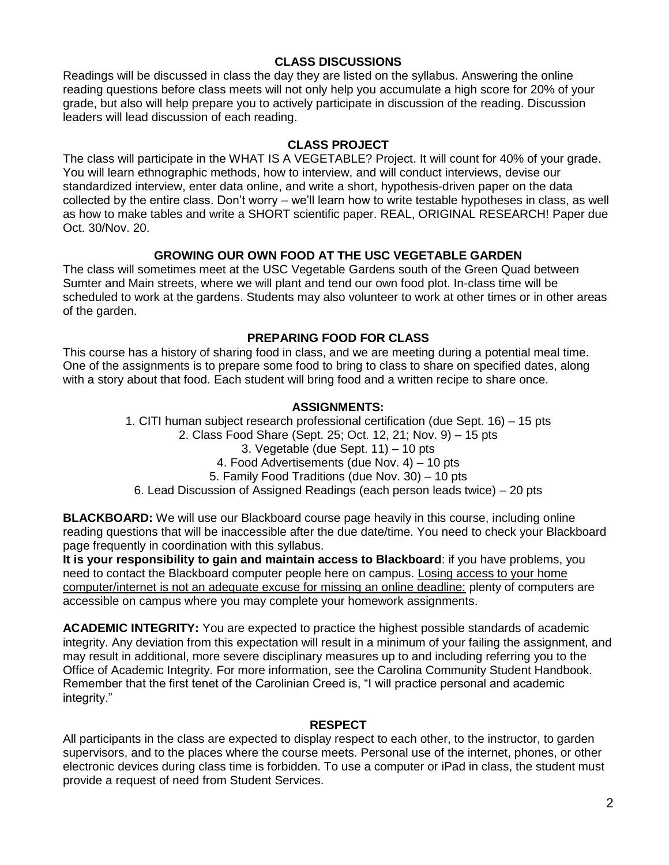## **CLASS DISCUSSIONS**

Readings will be discussed in class the day they are listed on the syllabus. Answering the online reading questions before class meets will not only help you accumulate a high score for 20% of your grade, but also will help prepare you to actively participate in discussion of the reading. Discussion leaders will lead discussion of each reading.

#### **CLASS PROJECT**

The class will participate in the WHAT IS A VEGETABLE? Project. It will count for 40% of your grade. You will learn ethnographic methods, how to interview, and will conduct interviews, devise our standardized interview, enter data online, and write a short, hypothesis-driven paper on the data collected by the entire class. Don't worry – we'll learn how to write testable hypotheses in class, as well as how to make tables and write a SHORT scientific paper. REAL, ORIGINAL RESEARCH! Paper due Oct. 30/Nov. 20.

## **GROWING OUR OWN FOOD AT THE USC VEGETABLE GARDEN**

The class will sometimes meet at the USC Vegetable Gardens south of the Green Quad between Sumter and Main streets, where we will plant and tend our own food plot. In-class time will be scheduled to work at the gardens. Students may also volunteer to work at other times or in other areas of the garden.

#### **PREPARING FOOD FOR CLASS**

This course has a history of sharing food in class, and we are meeting during a potential meal time. One of the assignments is to prepare some food to bring to class to share on specified dates, along with a story about that food. Each student will bring food and a written recipe to share once.

#### **ASSIGNMENTS:**

1. CITI human subject research professional certification (due Sept. 16) – 15 pts 2. Class Food Share (Sept. 25; Oct. 12, 21; Nov. 9) – 15 pts 3. Vegetable (due Sept. 11) – 10 pts 4. Food Advertisements (due Nov. 4) – 10 pts 5. Family Food Traditions (due Nov. 30) – 10 pts 6. Lead Discussion of Assigned Readings (each person leads twice) – 20 pts

**BLACKBOARD:** We will use our Blackboard course page heavily in this course, including online reading questions that will be inaccessible after the due date/time. You need to check your Blackboard page frequently in coordination with this syllabus.

**It is your responsibility to gain and maintain access to Blackboard**: if you have problems, you need to contact the Blackboard computer people here on campus. Losing access to your home computer/internet is not an adequate excuse for missing an online deadline: plenty of computers are accessible on campus where you may complete your homework assignments.

**ACADEMIC INTEGRITY:** You are expected to practice the highest possible standards of academic integrity. Any deviation from this expectation will result in a minimum of your failing the assignment, and may result in additional, more severe disciplinary measures up to and including referring you to the Office of Academic Integrity. For more information, see the Carolina Community Student Handbook. Remember that the first tenet of the Carolinian Creed is, "I will practice personal and academic integrity."

#### **RESPECT**

All participants in the class are expected to display respect to each other, to the instructor, to garden supervisors, and to the places where the course meets. Personal use of the internet, phones, or other electronic devices during class time is forbidden. To use a computer or iPad in class, the student must provide a request of need from Student Services.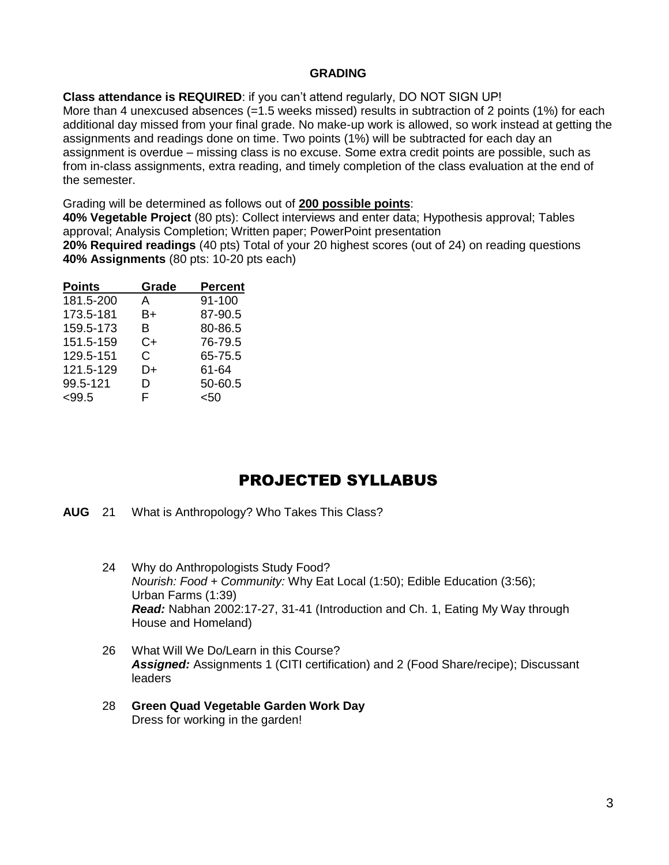## **GRADING**

**Class attendance is REQUIRED**: if you can't attend regularly, DO NOT SIGN UP!

More than 4 unexcused absences (=1.5 weeks missed) results in subtraction of 2 points (1%) for each additional day missed from your final grade. No make-up work is allowed, so work instead at getting the assignments and readings done on time. Two points (1%) will be subtracted for each day an assignment is overdue – missing class is no excuse. Some extra credit points are possible, such as from in-class assignments, extra reading, and timely completion of the class evaluation at the end of the semester.

Grading will be determined as follows out of **200 possible points**:

**40% Vegetable Project** (80 pts): Collect interviews and enter data; Hypothesis approval; Tables approval; Analysis Completion; Written paper; PowerPoint presentation

**20% Required readings** (40 pts) Total of your 20 highest scores (out of 24) on reading questions **40% Assignments** (80 pts: 10-20 pts each)

| <b>Points</b> | Grade | <b>Percent</b> |
|---------------|-------|----------------|
| 181.5-200     | A     | 91-100         |
| 173.5-181     | B+    | 87-90.5        |
| 159.5-173     | B     | 80-86.5        |
| 151.5-159     | C+    | 76-79.5        |
| 129.5-151     | C     | 65-75.5        |
| 121.5-129     | D+    | 61-64          |
| 99.5-121      | D     | 50-60.5        |
| < 99.5        | F.    | <50            |

# PROJECTED SYLLABUS

**AUG** 21 What is Anthropology? Who Takes This Class?

- 24 Why do Anthropologists Study Food? *Nourish: Food + Community:* Why Eat Local (1:50); Edible Education (3:56); Urban Farms (1:39) *Read:* Nabhan 2002:17-27, 31-41 (Introduction and Ch. 1, Eating My Way through House and Homeland)
- 26 What Will We Do/Learn in this Course? *Assigned:* Assignments 1 (CITI certification) and 2 (Food Share/recipe); Discussant leaders
- 28 **Green Quad Vegetable Garden Work Day** Dress for working in the garden!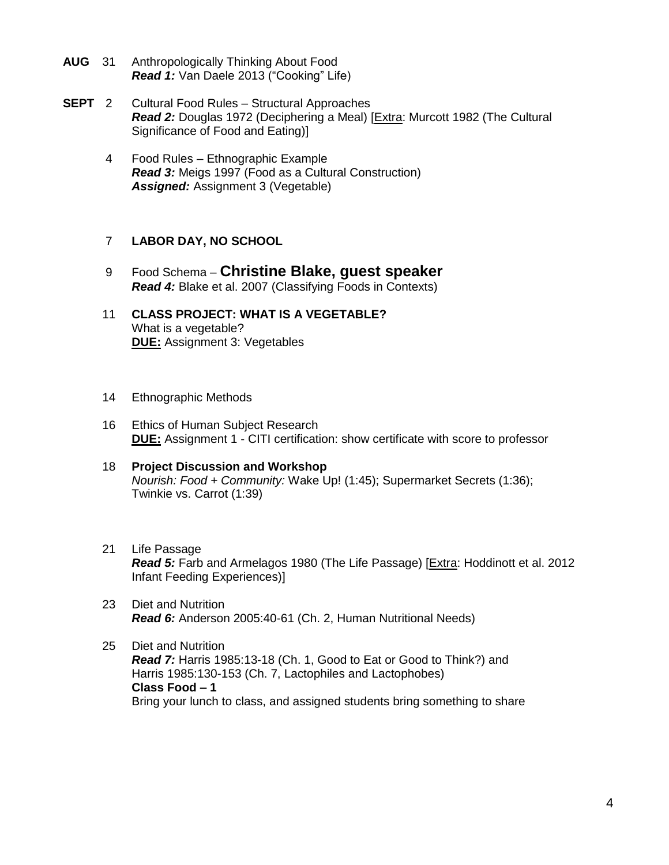- **AUG** 31 Anthropologically Thinking About Food **Read 1:** Van Daele 2013 ("Cooking" Life)
- **SEPT** 2 Cultural Food Rules Structural Approaches *Read 2:* Douglas 1972 (Deciphering a Meal) [Extra: Murcott 1982 (The Cultural Significance of Food and Eating)]
	- 4 Food Rules Ethnographic Example *Read 3:* Meigs 1997 (Food as a Cultural Construction) *Assigned:* Assignment 3 (Vegetable)

## 7 **LABOR DAY, NO SCHOOL**

- 9 Food Schema **Christine Blake, guest speaker** *Read 4:* Blake et al. 2007 (Classifying Foods in Contexts)
- 11 **CLASS PROJECT: WHAT IS A VEGETABLE?** What is a vegetable? **DUE:** Assignment 3: Vegetables
- 14 Ethnographic Methods
- 16 Ethics of Human Subject Research **DUE:** Assignment 1 - CITI certification: show certificate with score to professor
- 18 **Project Discussion and Workshop** *Nourish: Food + Community:* Wake Up! (1:45); Supermarket Secrets (1:36); Twinkie vs. Carrot (1:39)
- 21 Life Passage *Read 5:* Farb and Armelagos 1980 (The Life Passage) [Extra: Hoddinott et al. 2012 Infant Feeding Experiences)]
- 23 Diet and Nutrition *Read 6:* Anderson 2005:40-61 (Ch. 2, Human Nutritional Needs)
- 25 Diet and Nutrition *Read 7:* Harris 1985:13-18 (Ch. 1, Good to Eat or Good to Think?) and Harris 1985:130-153 (Ch. 7, Lactophiles and Lactophobes) **Class Food – 1** Bring your lunch to class, and assigned students bring something to share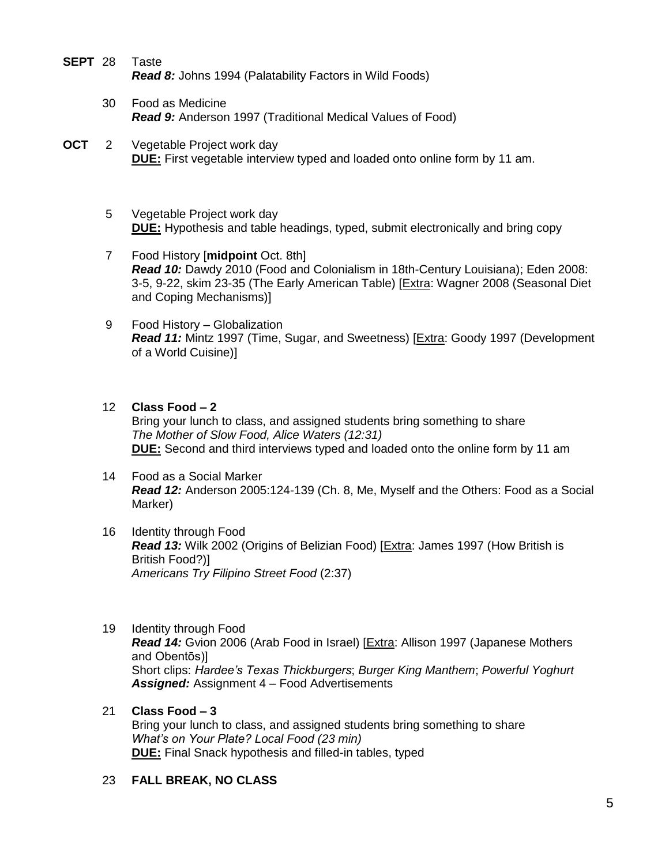- **SEPT** 28 Taste *Read 8:* Johns 1994 (Palatability Factors in Wild Foods)
	- 30 Food as Medicine *Read 9:* Anderson 1997 (Traditional Medical Values of Food)
- **OCT** 2 Vegetable Project work day **DUE:** First vegetable interview typed and loaded onto online form by 11 am.
	- 5 Vegetable Project work day **DUE:** Hypothesis and table headings, typed, submit electronically and bring copy
	- 7 Food History [**midpoint** Oct. 8th] *Read 10:* Dawdy 2010 (Food and Colonialism in 18th-Century Louisiana); Eden 2008: 3-5, 9-22, skim 23-35 (The Early American Table) [Extra: Wagner 2008 (Seasonal Diet and Coping Mechanisms)]
	- 9 Food History Globalization *Read 11:* Mintz 1997 (Time, Sugar, and Sweetness) [Extra: Goody 1997 (Development of a World Cuisine)]
	- 12 **Class Food – 2**

Bring your lunch to class, and assigned students bring something to share *The Mother of Slow Food, Alice Waters (12:31)* **DUE:** Second and third interviews typed and loaded onto the online form by 11 am

- 14 Food as a Social Marker *Read 12:* Anderson 2005:124-139 (Ch. 8, Me, Myself and the Others: Food as a Social Marker)
- 16 Identity through Food *Read 13:* Wilk 2002 (Origins of Belizian Food) [Extra: James 1997 (How British is British Food?)] *Americans Try Filipino Street Food* (2:37)
- 19 Identity through Food *Read 14:* Gvion 2006 (Arab Food in Israel) [Extra: Allison 1997 (Japanese Mothers and Obentōs)] Short clips: *Hardee's Texas Thickburgers*; *Burger King Manthem*; *Powerful Yoghurt Assigned:* Assignment 4 – Food Advertisements
- 21 **Class Food – 3**  Bring your lunch to class, and assigned students bring something to share *What's on Your Plate? Local Food (23 min)* **DUE:** Final Snack hypothesis and filled-in tables, typed

## 23 **FALL BREAK, NO CLASS**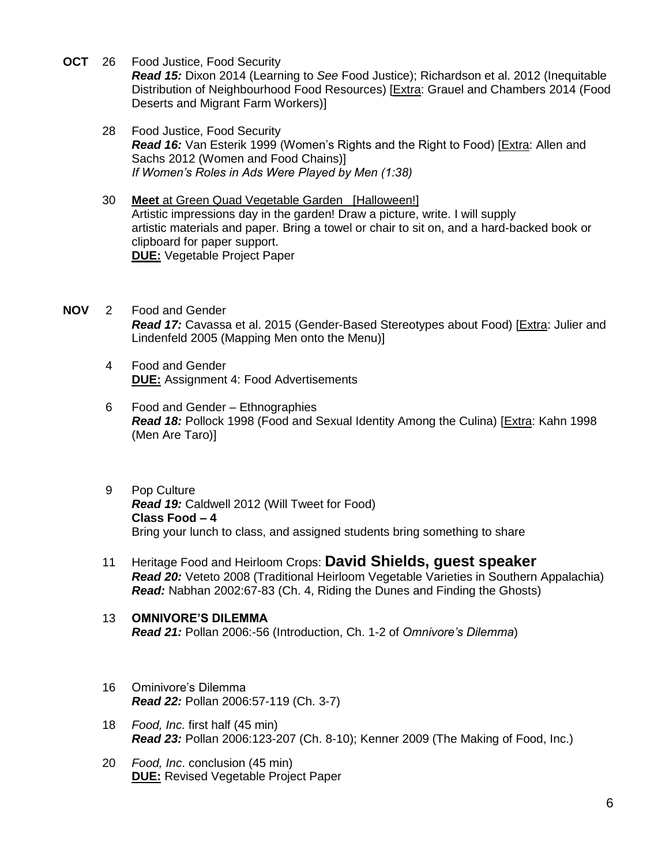**OCT** 26 Food Justice, Food Security

*Read 15:* Dixon 2014 (Learning to *See* Food Justice); Richardson et al. 2012 (Inequitable Distribution of Neighbourhood Food Resources) [Extra: Grauel and Chambers 2014 (Food Deserts and Migrant Farm Workers)]

- 28 Food Justice, Food Security *Read 16:* Van Esterik 1999 (Women's Rights and the Right to Food) [Extra: Allen and Sachs 2012 (Women and Food Chains)] *If Women's Roles in Ads Were Played by Men (1:38)*
- 30 **Meet** at Green Quad Vegetable Garden [Halloween!] Artistic impressions day in the garden! Draw a picture, write. I will supply artistic materials and paper. Bring a towel or chair to sit on, and a hard-backed book or clipboard for paper support. **DUE:** Vegetable Project Paper
- **NOV** 2 Food and Gender *Read 17:* Cavassa et al. 2015 (Gender-Based Stereotypes about Food) [Extra: Julier and Lindenfeld 2005 (Mapping Men onto the Menu)]
	- 4 Food and Gender **DUE:** Assignment 4: Food Advertisements
	- 6 Food and Gender Ethnographies *Read 18:* Pollock 1998 (Food and Sexual Identity Among the Culina) [Extra: Kahn 1998 (Men Are Taro)]
	- 9 Pop Culture *Read 19:* Caldwell 2012 (Will Tweet for Food) **Class Food – 4**  Bring your lunch to class, and assigned students bring something to share
	- 11 Heritage Food and Heirloom Crops: **David Shields, guest speaker** *Read 20:* Veteto 2008 (Traditional Heirloom Vegetable Varieties in Southern Appalachia) *Read:* Nabhan 2002:67-83 (Ch. 4, Riding the Dunes and Finding the Ghosts)
	- 13 **OMNIVORE'S DILEMMA** *Read 21:* Pollan 2006:-56 (Introduction, Ch. 1-2 of *Omnivore's Dilemma*)
	- 16 Ominivore's Dilemma *Read 22:* Pollan 2006:57-119 (Ch. 3-7)
	- 18 *Food, Inc.* first half (45 min) *Read 23:* Pollan 2006:123-207 (Ch. 8-10); Kenner 2009 (The Making of Food, Inc.)
	- 20 *Food, Inc*. conclusion (45 min) **DUE:** Revised Vegetable Project Paper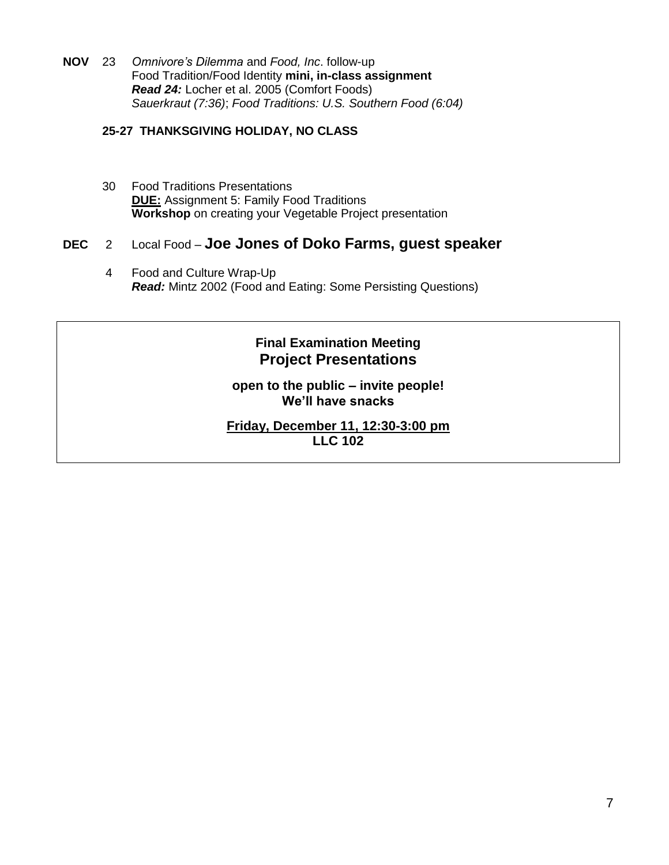**NOV** 23 *Omnivore's Dilemma* and *Food, Inc*. follow-up Food Tradition/Food Identity **mini, in-class assignment** *Read 24:* Locher et al. 2005 (Comfort Foods) *Sauerkraut (7:36)*; *Food Traditions: U.S. Southern Food (6:04)*

### **25-27 THANKSGIVING HOLIDAY, NO CLASS**

30 Food Traditions Presentations **DUE:** Assignment 5: Family Food Traditions **Workshop** on creating your Vegetable Project presentation

# **DEC** 2 Local Food – **Joe Jones of Doko Farms, guest speaker**

4 Food and Culture Wrap-Up *Read:* Mintz 2002 (Food and Eating: Some Persisting Questions)

# **Final Examination Meeting Project Presentations**

**open to the public – invite people! We'll have snacks**

#### **Friday, December 11, 12:30-3:00 pm LLC 102**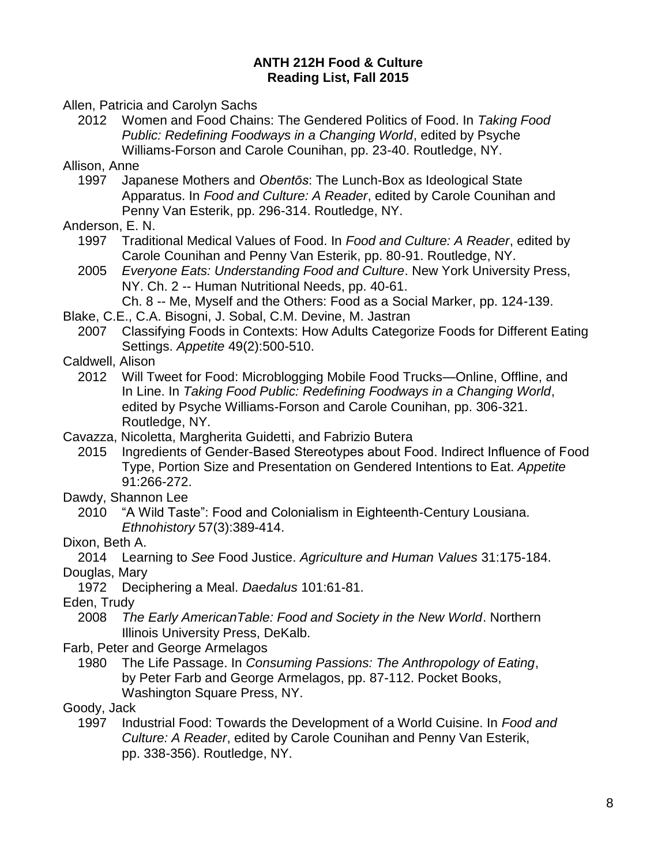## **ANTH 212H Food & Culture Reading List, Fall 2015**

Allen, Patricia and Carolyn Sachs

2012 Women and Food Chains: The Gendered Politics of Food. In *Taking Food Public: Redefining Foodways in a Changing World*, edited by Psyche Williams-Forson and Carole Counihan, pp. 23-40. Routledge, NY.

Allison, Anne

- 1997 Japanese Mothers and *Obentōs*: The Lunch-Box as Ideological State Apparatus. In *Food and Culture: A Reader*, edited by Carole Counihan and Penny Van Esterik, pp. 296-314. Routledge, NY.
- Anderson, E. N.
	- 1997 Traditional Medical Values of Food. In *Food and Culture: A Reader*, edited by Carole Counihan and Penny Van Esterik, pp. 80-91. Routledge, NY.
	- 2005 *Everyone Eats: Understanding Food and Culture*. New York University Press, NY. Ch. 2 -- Human Nutritional Needs, pp. 40-61.
		- Ch. 8 -- Me, Myself and the Others: Food as a Social Marker, pp. 124-139.
- Blake, C.E., C.A. Bisogni, J. Sobal, C.M. Devine, M. Jastran
	- 2007 Classifying Foods in Contexts: How Adults Categorize Foods for Different Eating Settings. *Appetite* 49(2):500-510.

## Caldwell, Alison

- 2012 Will Tweet for Food: Microblogging Mobile Food Trucks—Online, Offline, and In Line. In *Taking Food Public: Redefining Foodways in a Changing World*, edited by Psyche Williams-Forson and Carole Counihan, pp. 306-321. Routledge, NY.
- Cavazza, Nicoletta, Margherita Guidetti, and Fabrizio Butera
	- 2015 Ingredients of Gender-Based Stereotypes about Food. Indirect Influence of Food Type, Portion Size and Presentation on Gendered Intentions to Eat. *Appetite* 91:266-272.

Dawdy, Shannon Lee

- 2010 "A Wild Taste": Food and Colonialism in Eighteenth-Century Lousiana. *Ethnohistory* 57(3):389-414.
- Dixon, Beth A.

2014 Learning to *See* Food Justice. *Agriculture and Human Values* 31:175-184. Douglas, Mary

1972 Deciphering a Meal. *Daedalus* 101:61-81.

Eden, Trudy

- 2008 *The Early AmericanTable: Food and Society in the New World*. Northern Illinois University Press, DeKalb.
- Farb, Peter and George Armelagos
	- 1980 The Life Passage. In *Consuming Passions: The Anthropology of Eating*, by Peter Farb and George Armelagos, pp. 87-112. Pocket Books, Washington Square Press, NY.

## Goody, Jack

1997 Industrial Food: Towards the Development of a World Cuisine. In *Food and Culture: A Reader*, edited by Carole Counihan and Penny Van Esterik, pp. 338-356). Routledge, NY.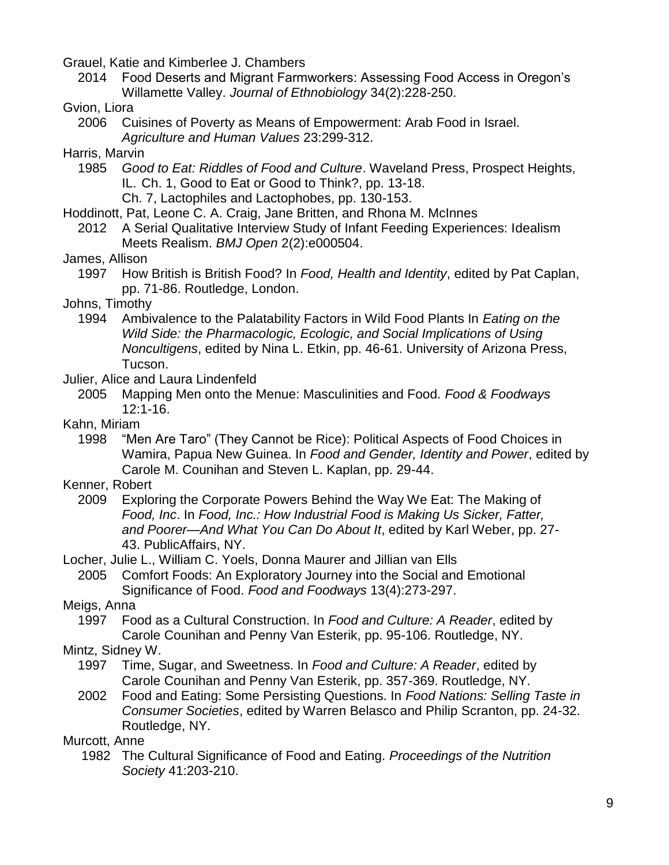Grauel, Katie and Kimberlee J. Chambers

2014 Food Deserts and Migrant Farmworkers: Assessing Food Access in Oregon's Willamette Valley. *Journal of Ethnobiology* 34(2):228-250.

# Gvion, Liora

2006 Cuisines of Poverty as Means of Empowerment: Arab Food in Israel. *Agriculture and Human Values* 23:299-312.

## Harris, Marvin

- 1985 *Good to Eat: Riddles of Food and Culture*. Waveland Press, Prospect Heights, IL. Ch. 1, Good to Eat or Good to Think?, pp. 13-18.
	- Ch. 7, Lactophiles and Lactophobes, pp. 130-153.
- Hoddinott, Pat, Leone C. A. Craig, Jane Britten, and Rhona M. McInnes
- 2012 A Serial Qualitative Interview Study of Infant Feeding Experiences: Idealism Meets Realism. *BMJ Open* 2(2):e000504.

# James, Allison

1997 How British is British Food? In *Food, Health and Identity*, edited by Pat Caplan, pp. 71-86. Routledge, London.

# Johns, Timothy

1994 Ambivalence to the Palatability Factors in Wild Food Plants In *Eating on the Wild Side: the Pharmacologic, Ecologic, and Social Implications of Using Noncultigens*, edited by Nina L. Etkin, pp. 46-61. University of Arizona Press, Tucson.

## Julier, Alice and Laura Lindenfeld

2005 Mapping Men onto the Menue: Masculinities and Food. *Food & Foodways* 12:1-16.

## Kahn, Miriam

1998 "Men Are Taro" (They Cannot be Rice): Political Aspects of Food Choices in Wamira, Papua New Guinea. In *Food and Gender, Identity and Power*, edited by Carole M. Counihan and Steven L. Kaplan, pp. 29-44.

# Kenner, Robert

2009 Exploring the Corporate Powers Behind the Way We Eat: The Making of *Food, Inc*. In *Food, Inc.: How Industrial Food is Making Us Sicker, Fatter, and Poorer—And What You Can Do About It*, edited by Karl Weber, pp. 27- 43. PublicAffairs, NY.

Locher, Julie L., William C. Yoels, Donna Maurer and Jillian van Ells

2005 Comfort Foods: An Exploratory Journey into the Social and Emotional Significance of Food. *Food and Foodways* 13(4):273-297.

# Meigs, Anna

1997 Food as a Cultural Construction. In *Food and Culture: A Reader*, edited by Carole Counihan and Penny Van Esterik, pp. 95-106. Routledge, NY.

# Mintz, Sidney W.

- 1997 Time, Sugar, and Sweetness. In *Food and Culture: A Reader*, edited by Carole Counihan and Penny Van Esterik, pp. 357-369. Routledge, NY.
- 2002 Food and Eating: Some Persisting Questions. In *Food Nations: Selling Taste in Consumer Societies*, edited by Warren Belasco and Philip Scranton, pp. 24-32. Routledge, NY.

# Murcott, Anne

1982 The Cultural Significance of Food and Eating. *Proceedings of the Nutrition Society* 41:203-210.